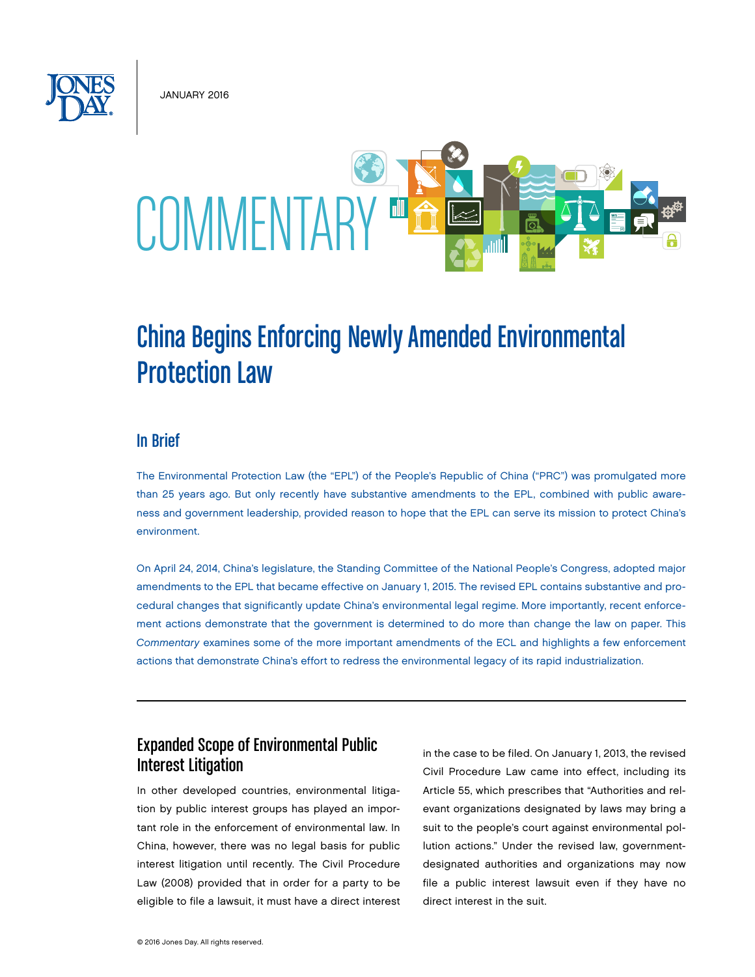January 2016



# China Begins Enforcing Newly Amended Environmental Protection Law

#### In Brief

The Environmental Protection Law (the "EPL") of the People's Republic of China ("PRC") was promulgated more than 25 years ago. But only recently have substantive amendments to the EPL, combined with public awareness and government leadership, provided reason to hope that the EPL can serve its mission to protect China's environment.

On April 24, 2014, China's legislature, the Standing Committee of the National People's Congress, adopted major amendments to the EPL that became effective on January 1, 2015. The revised EPL contains substantive and procedural changes that significantly update China's environmental legal regime. More importantly, recent enforcement actions demonstrate that the government is determined to do more than change the law on paper. This *Commentary* examines some of the more important amendments of the ECL and highlights a few enforcement actions that demonstrate China's effort to redress the environmental legacy of its rapid industrialization.

## Expanded Scope of Environmental Public Interest Litigation

In other developed countries, environmental litigation by public interest groups has played an important role in the enforcement of environmental law. In China, however, there was no legal basis for public interest litigation until recently. The Civil Procedure Law (2008) provided that in order for a party to be eligible to file a lawsuit, it must have a direct interest in the case to be filed. On January 1, 2013, the revised Civil Procedure Law came into effect, including its Article 55, which prescribes that "Authorities and relevant organizations designated by laws may bring a suit to the people's court against environmental pollution actions." Under the revised law, governmentdesignated authorities and organizations may now file a public interest lawsuit even if they have no direct interest in the suit.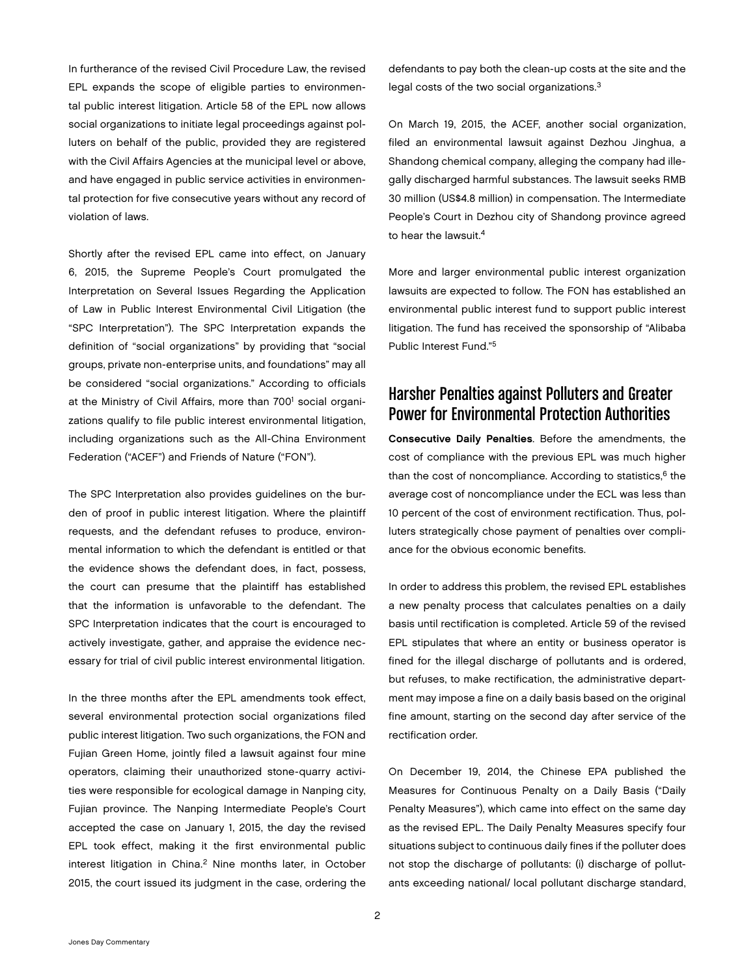In furtherance of the revised Civil Procedure Law, the revised EPL expands the scope of eligible parties to environmental public interest litigation. Article 58 of the EPL now allows social organizations to initiate legal proceedings against polluters on behalf of the public, provided they are registered with the Civil Affairs Agencies at the municipal level or above, and have engaged in public service activities in environmental protection for five consecutive years without any record of violation of laws.

Shortly after the revised EPL came into effect, on January 6, 2015, the Supreme People's Court promulgated the Interpretation on Several Issues Regarding the Application of Law in Public Interest Environmental Civil Litigation (the "SPC Interpretation"). The SPC Interpretation expands the definition of "social organizations" by providing that "social groups, private non-enterprise units, and foundations" may all be considered "social organizations." According to officials at the Ministry of Civil Affairs, more than 700<sup>1</sup> social organizations qualify to file public interest environmental litigation, including organizations such as the All-China Environment Federation ("ACEF") and Friends of Nature ("FON").

The SPC Interpretation also provides guidelines on the burden of proof in public interest litigation. Where the plaintiff requests, and the defendant refuses to produce, environmental information to which the defendant is entitled or that the evidence shows the defendant does, in fact, possess, the court can presume that the plaintiff has established that the information is unfavorable to the defendant. The SPC Interpretation indicates that the court is encouraged to actively investigate, gather, and appraise the evidence necessary for trial of civil public interest environmental litigation.

In the three months after the EPL amendments took effect, several environmental protection social organizations filed public interest litigation. Two such organizations, the FON and Fujian Green Home, jointly filed a lawsuit against four mine operators, claiming their unauthorized stone-quarry activities were responsible for ecological damage in Nanping city, Fujian province. The Nanping Intermediate People's Court accepted the case on January 1, 2015, the day the revised EPL took effect, making it the first environmental public interest litigation in China.<sup>2</sup> Nine months later, in October 2015, the court issued its judgment in the case, ordering the

defendants to pay both the clean-up costs at the site and the legal costs of the two social organizations.3

On March 19, 2015, the ACEF, another social organization, filed an environmental lawsuit against Dezhou Jinghua, a Shandong chemical company, alleging the company had illegally discharged harmful substances. The lawsuit seeks RMB 30 million (US\$4.8 million) in compensation. The Intermediate People's Court in Dezhou city of Shandong province agreed to hear the lawsuit.4

More and larger environmental public interest organization lawsuits are expected to follow. The FON has established an environmental public interest fund to support public interest litigation. The fund has received the sponsorship of "Alibaba Public Interest Fund."5

# Harsher Penalties against Polluters and Greater Power for Environmental Protection Authorities

Consecutive Daily Penalties. Before the amendments, the cost of compliance with the previous EPL was much higher than the cost of noncompliance. According to statistics, $6$  the average cost of noncompliance under the ECL was less than 10 percent of the cost of environment rectification. Thus, polluters strategically chose payment of penalties over compliance for the obvious economic benefits.

In order to address this problem, the revised EPL establishes a new penalty process that calculates penalties on a daily basis until rectification is completed. Article 59 of the revised EPL stipulates that where an entity or business operator is fined for the illegal discharge of pollutants and is ordered, but refuses, to make rectification, the administrative department may impose a fine on a daily basis based on the original fine amount, starting on the second day after service of the rectification order.

On December 19, 2014, the Chinese EPA published the Measures for Continuous Penalty on a Daily Basis ("Daily Penalty Measures"), which came into effect on the same day as the revised EPL. The Daily Penalty Measures specify four situations subject to continuous daily fines if the polluter does not stop the discharge of pollutants: (i) discharge of pollutants exceeding national/ local pollutant discharge standard,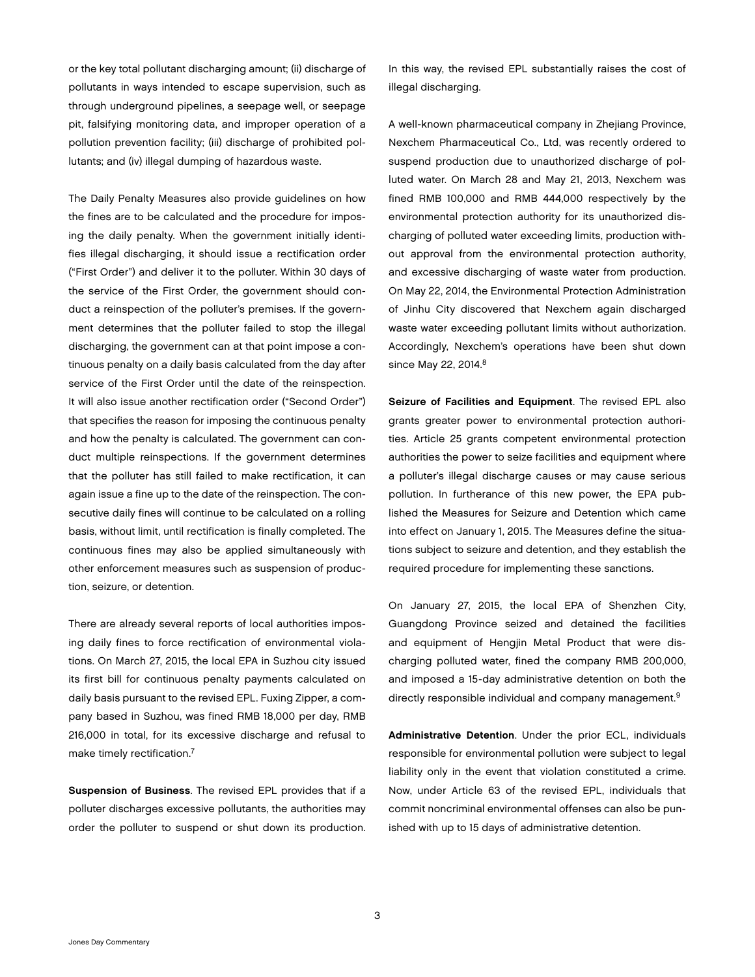or the key total pollutant discharging amount; (ii) discharge of pollutants in ways intended to escape supervision, such as through underground pipelines, a seepage well, or seepage pit, falsifying monitoring data, and improper operation of a pollution prevention facility; (iii) discharge of prohibited pollutants; and (iv) illegal dumping of hazardous waste.

The Daily Penalty Measures also provide guidelines on how the fines are to be calculated and the procedure for imposing the daily penalty. When the government initially identifies illegal discharging, it should issue a rectification order ("First Order") and deliver it to the polluter. Within 30 days of the service of the First Order, the government should conduct a reinspection of the polluter's premises. If the government determines that the polluter failed to stop the illegal discharging, the government can at that point impose a continuous penalty on a daily basis calculated from the day after service of the First Order until the date of the reinspection. It will also issue another rectification order ("Second Order") that specifies the reason for imposing the continuous penalty and how the penalty is calculated. The government can conduct multiple reinspections. If the government determines that the polluter has still failed to make rectification, it can again issue a fine up to the date of the reinspection. The consecutive daily fines will continue to be calculated on a rolling basis, without limit, until rectification is finally completed. The continuous fines may also be applied simultaneously with other enforcement measures such as suspension of production, seizure, or detention.

There are already several reports of local authorities imposing daily fines to force rectification of environmental violations. On March 27, 2015, the local EPA in Suzhou city issued its first bill for continuous penalty payments calculated on daily basis pursuant to the revised EPL. Fuxing Zipper, a company based in Suzhou, was fined RMB 18,000 per day, RMB 216,000 in total, for its excessive discharge and refusal to make timely rectification.<sup>7</sup>

Suspension of Business. The revised EPL provides that if a polluter discharges excessive pollutants, the authorities may order the polluter to suspend or shut down its production.

In this way, the revised EPL substantially raises the cost of illegal discharging.

A well-known pharmaceutical company in Zhejiang Province, [Nexchem Pharmaceutical Co., Ltd](http://www.nexchem.cn/), was recently ordered to suspend production due to unauthorized discharge of polluted water. On March 28 and May 21, 2013, Nexchem was fined RMB 100,000 and RMB 444,000 respectively by the environmental protection authority for its unauthorized discharging of polluted water exceeding limits, production without approval from the environmental protection authority, and excessive discharging of waste water from production. On May 22, 2014, the Environmental Protection Administration of Jinhu City discovered that Nexchem again discharged waste water exceeding pollutant limits without authorization. Accordingly, Nexchem's operations have been shut down since May 22, 2014.<sup>8</sup>

Seizure of Facilities and Equipment. The revised EPL also grants greater power to environmental protection authorities. Article 25 grants competent environmental protection authorities the power to seize facilities and equipment where a polluter's illegal discharge causes or may cause serious pollution. In furtherance of this new power, the EPA published the Measures for Seizure and Detention which came into effect on January 1, 2015. The Measures define the situations subject to seizure and detention, and they establish the required procedure for implementing these sanctions.

On January 27, 2015, the local EPA of Shenzhen City, Guangdong Province seized and detained the facilities and equipment of Hengjin Metal Product that were discharging polluted water, fined the company RMB 200,000, and imposed a 15-day administrative detention on both the directly responsible individual and company management.<sup>9</sup>

Administrative Detention. Under the prior ECL, individuals responsible for environmental pollution were subject to legal liability only in the event that violation constituted a crime. Now, under Article 63 of the revised EPL, individuals that commit noncriminal environmental offenses can also be punished with up to 15 days of administrative detention.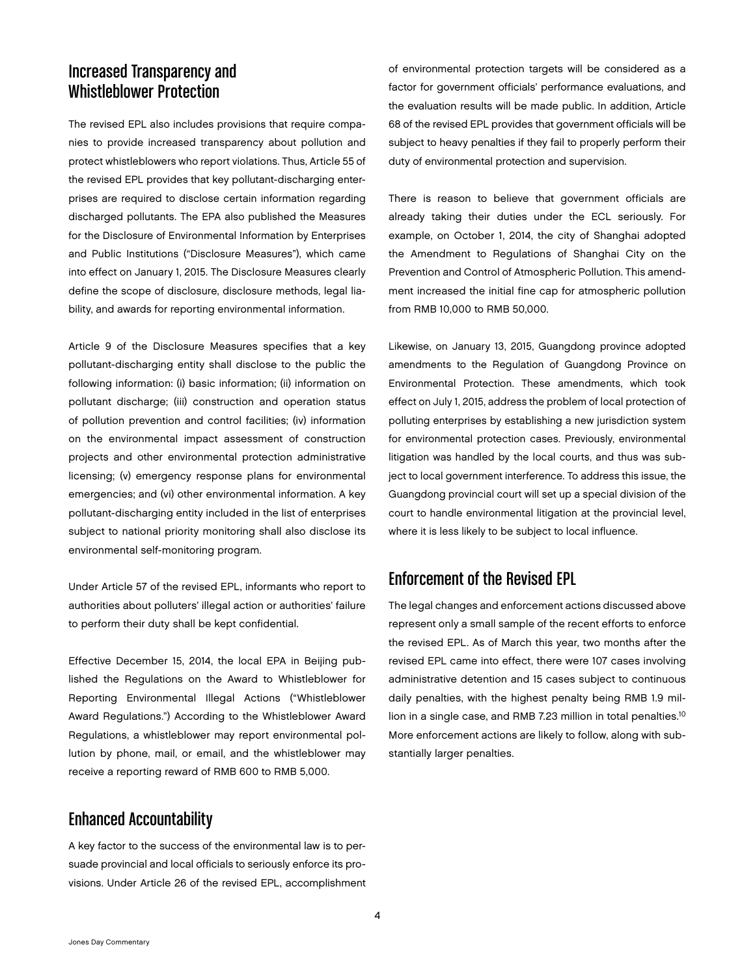# Increased Transparency and Whistleblower Protection

The revised EPL also includes provisions that require companies to provide increased transparency about pollution and protect whistleblowers who report violations. Thus, Article 55 of the revised EPL provides that key pollutant-discharging enterprises are required to disclose certain information regarding discharged pollutants. The EPA also published the Measures for the Disclosure of Environmental Information by Enterprises and Public Institutions ("Disclosure Measures"), which came into effect on January 1, 2015. The Disclosure Measures clearly define the scope of disclosure, disclosure methods, legal liability, and awards for reporting environmental information.

Article 9 of the Disclosure Measures specifies that a key pollutant-discharging entity shall disclose to the public the following information: (i) basic information; (ii) information on pollutant discharge; (iii) construction and operation status of pollution prevention and control facilities; (iv) information on the environmental impact assessment of construction projects and other environmental protection administrative licensing; (v) emergency response plans for environmental emergencies; and (vi) other environmental information. A key pollutant-discharging entity included in the list of enterprises subject to national priority monitoring shall also disclose its environmental self-monitoring program.

Under Article 57 of the revised EPL, informants who report to authorities about polluters' illegal action or authorities' failure to perform their duty shall be kept confidential.

Effective December 15, 2014, the local EPA in Beijing published the Regulations on the Award to Whistleblower for Reporting Environmental Illegal Actions ("Whistleblower Award Regulations.") According to the Whistleblower Award Regulations, a whistleblower may report environmental pollution by phone, mail, or email, and the whistleblower may receive a reporting reward of RMB 600 to RMB 5,000.

## Enhanced Accountability

A key factor to the success of the environmental law is to persuade provincial and local officials to seriously enforce its provisions. Under Article 26 of the revised EPL, accomplishment of environmental protection targets will be considered as a factor for government officials' performance evaluations, and the evaluation results will be made public. In addition, Article 68 of the revised EPL provides that government officials will be subject to heavy penalties if they fail to properly perform their duty of environmental protection and supervision.

There is reason to believe that government officials are already taking their duties under the ECL seriously. For example, on October 1, 2014, the city of Shanghai adopted the Amendment to Regulations of Shanghai City on the Prevention and Control of Atmospheric Pollution. This amendment increased the initial fine cap for atmospheric pollution from RMB 10,000 to RMB 50,000.

Likewise, on January 13, 2015, Guangdong province adopted amendments to the Regulation of Guangdong Province on Environmental Protection. These amendments, which took effect on July 1, 2015, address the problem of local protection of polluting enterprises by establishing a new jurisdiction system for environmental protection cases. Previously, environmental litigation was handled by the local courts, and thus was subject to local government interference. To address this issue, the Guangdong provincial court will set up a special division of the court to handle environmental litigation at the provincial level, where it is less likely to be subject to local influence.

#### Enforcement of the Revised EPL

The legal changes and enforcement actions discussed above represent only a small sample of the recent efforts to enforce the revised EPL. As of March this year, two months after the revised EPL came into effect, there were 107 cases involving administrative detention and 15 cases subject to continuous daily penalties, with the highest penalty being RMB 1.9 million in a single case, and RMB 7.23 million in total penalties.<sup>10</sup> More enforcement actions are likely to follow, along with substantially larger penalties.